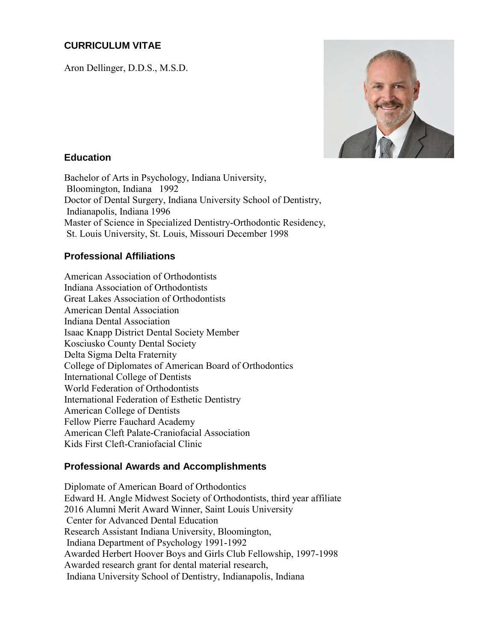# **CURRICULUM VITAE**

Aron Dellinger, D.D.S., M.S.D.



### **Education**

Bachelor of Arts in Psychology, Indiana University, Bloomington, Indiana 1992 Doctor of Dental Surgery, Indiana University School of Dentistry, Indianapolis, Indiana 1996 Master of Science in Specialized Dentistry-Orthodontic Residency, St. Louis University, St. Louis, Missouri December 1998

# **Professional Affiliations**

American Association of Orthodontists Indiana Association of Orthodontists Great Lakes Association of Orthodontists American Dental Association Indiana Dental Association Isaac Knapp District Dental Society Member Kosciusko County Dental Society Delta Sigma Delta Fraternity College of Diplomates of American Board of Orthodontics International College of Dentists World Federation of Orthodontists International Federation of Esthetic Dentistry American College of Dentists Fellow Pierre Fauchard Academy American Cleft Palate-Craniofacial Association Kids First Cleft-Craniofacial Clinic

### **Professional Awards and Accomplishments**

Diplomate of American Board of Orthodontics Edward H. Angle Midwest Society of Orthodontists, third year affiliate 2016 Alumni Merit Award Winner, Saint Louis University Center for Advanced Dental Education Research Assistant Indiana University, Bloomington, Indiana Department of Psychology 1991-1992 Awarded Herbert Hoover Boys and Girls Club Fellowship, 1997-1998 Awarded research grant for dental material research, Indiana University School of Dentistry, Indianapolis, Indiana